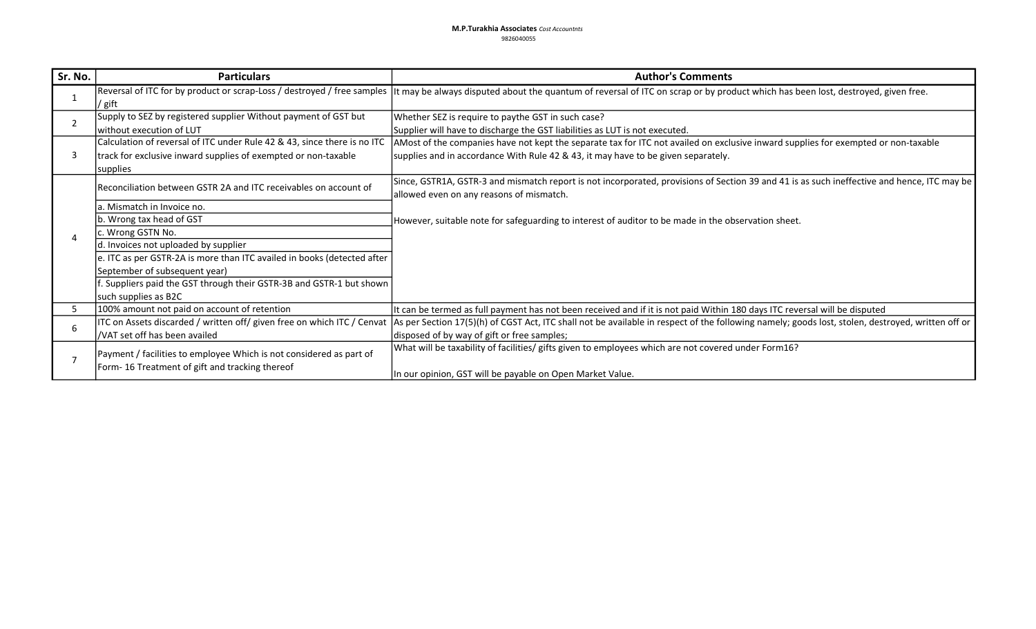| Sr. No.        | <b>Particulars</b>                                                                                                                                     | <b>Author's Comments</b>                                                                                                                                                                                                                                                    |
|----------------|--------------------------------------------------------------------------------------------------------------------------------------------------------|-----------------------------------------------------------------------------------------------------------------------------------------------------------------------------------------------------------------------------------------------------------------------------|
|                | / gift                                                                                                                                                 | Reversal of ITC for by product or scrap-Loss / destroyed / free samples  It may be always disputed about the quantum of reversal of ITC on scrap or by product which has been lost, destroyed, given free.                                                                  |
| $\overline{2}$ | Supply to SEZ by registered supplier Without payment of GST but<br>without execution of LUT                                                            | Whether SEZ is require to paythe GST in such case?<br>Supplier will have to discharge the GST liabilities as LUT is not executed.                                                                                                                                           |
| 3              | Calculation of reversal of ITC under Rule 42 & 43, since there is no ITC<br>track for exclusive inward supplies of exempted or non-taxable<br>supplies | AMost of the companies have not kept the separate tax for ITC not availed on exclusive inward supplies for exempted or non-taxable<br>supplies and in accordance With Rule 42 & 43, it may have to be given separately.                                                     |
|                | Reconciliation between GSTR 2A and ITC receivables on account of                                                                                       | Since, GSTR1A, GSTR-3 and mismatch report is not incorporated, provisions of Section 39 and 41 is as such ineffective and hence, ITC may be<br>allowed even on any reasons of mismatch.                                                                                     |
|                | la. Mismatch in Invoice no.<br>b. Wrong tax head of GST                                                                                                |                                                                                                                                                                                                                                                                             |
|                | c. Wrong GSTN No.                                                                                                                                      | However, suitable note for safeguarding to interest of auditor to be made in the observation sheet.                                                                                                                                                                         |
|                | d. Invoices not uploaded by supplier                                                                                                                   |                                                                                                                                                                                                                                                                             |
|                | e. ITC as per GSTR-2A is more than ITC availed in books (detected after                                                                                |                                                                                                                                                                                                                                                                             |
|                | September of subsequent year)                                                                                                                          |                                                                                                                                                                                                                                                                             |
|                | f. Suppliers paid the GST through their GSTR-3B and GSTR-1 but shown                                                                                   |                                                                                                                                                                                                                                                                             |
|                | such supplies as B2C                                                                                                                                   |                                                                                                                                                                                                                                                                             |
| 5              | 100% amount not paid on account of retention                                                                                                           | It can be termed as full payment has not been received and if it is not paid Within 180 days ITC reversal will be disputed                                                                                                                                                  |
| 6              | VAT set off has been availed                                                                                                                           | ITC on Assets discarded / written off/ given free on which ITC / Cenvat  As per Section 17(5)(h) of CGST Act, ITC shall not be available in respect of the following namely; goods lost, stolen, destroyed, written off or  <br>disposed of by way of gift or free samples; |
|                | Payment / facilities to employee Which is not considered as part of<br>Form-16 Treatment of gift and tracking thereof                                  | What will be taxability of facilities/ gifts given to employees which are not covered under Form16?<br>In our opinion, GST will be payable on Open Market Value.                                                                                                            |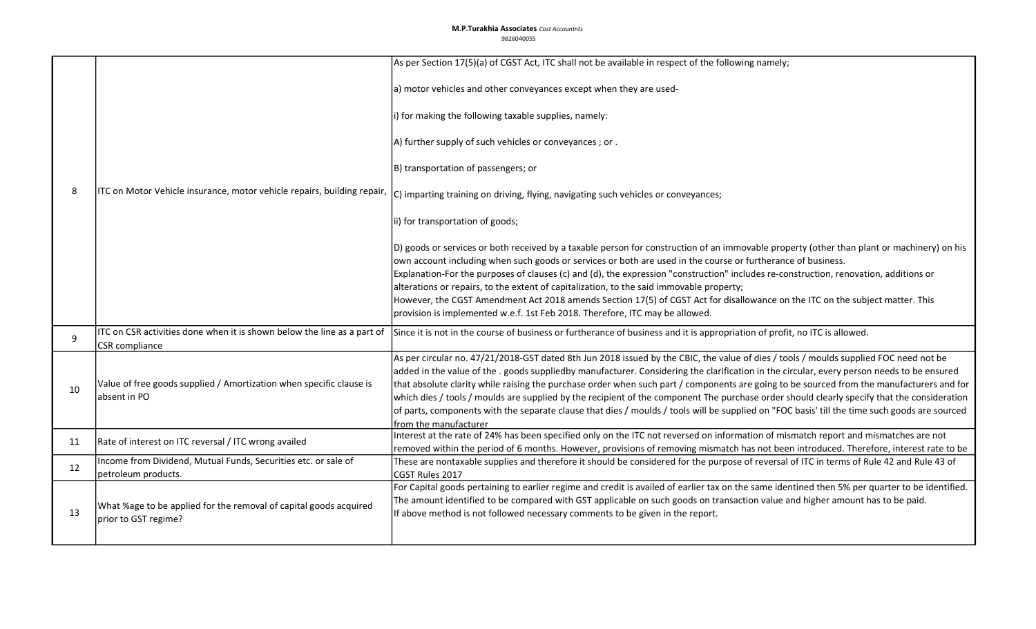## **M.P.Turakhia Associates** Cost Accountnts 9826040055

|    |                                                                                                  | As per Section 17(5)(a) of CGST Act, ITC shall not be available in respect of the following namely;                                                                                                                                                                                                                                                                                                                                                                                                                                                                                                                                                                                                                                                       |
|----|--------------------------------------------------------------------------------------------------|-----------------------------------------------------------------------------------------------------------------------------------------------------------------------------------------------------------------------------------------------------------------------------------------------------------------------------------------------------------------------------------------------------------------------------------------------------------------------------------------------------------------------------------------------------------------------------------------------------------------------------------------------------------------------------------------------------------------------------------------------------------|
| 8  | ITC on Motor Vehicle insurance, motor vehicle repairs, building repair,                          | a) motor vehicles and other conveyances except when they are used-                                                                                                                                                                                                                                                                                                                                                                                                                                                                                                                                                                                                                                                                                        |
|    |                                                                                                  | i) for making the following taxable supplies, namely:                                                                                                                                                                                                                                                                                                                                                                                                                                                                                                                                                                                                                                                                                                     |
|    |                                                                                                  | A) further supply of such vehicles or conveyances; or.                                                                                                                                                                                                                                                                                                                                                                                                                                                                                                                                                                                                                                                                                                    |
|    |                                                                                                  | B) transportation of passengers; or                                                                                                                                                                                                                                                                                                                                                                                                                                                                                                                                                                                                                                                                                                                       |
|    |                                                                                                  | $ C $ imparting training on driving, flying, navigating such vehicles or conveyances;                                                                                                                                                                                                                                                                                                                                                                                                                                                                                                                                                                                                                                                                     |
|    |                                                                                                  | ii) for transportation of goods;                                                                                                                                                                                                                                                                                                                                                                                                                                                                                                                                                                                                                                                                                                                          |
|    |                                                                                                  | D) goods or services or both received by a taxable person for construction of an immovable property (other than plant or machinery) on his<br>own account including when such goods or services or both are used in the course or furtherance of business.<br>Explanation-For the purposes of clauses (c) and (d), the expression "construction" includes re-construction, renovation, additions or<br>alterations or repairs, to the extent of capitalization, to the said immovable property;<br>However, the CGST Amendment Act 2018 amends Section 17(5) of CGST Act for disallowance on the ITC on the subject matter. This<br>provision is implemented w.e.f. 1st Feb 2018. Therefore, ITC may be allowed.                                          |
| 9  | ITC on CSR activities done when it is shown below the line as a part of<br><b>CSR</b> compliance | Since it is not in the course of business or furtherance of business and it is appropriation of profit, no ITC is allowed.                                                                                                                                                                                                                                                                                                                                                                                                                                                                                                                                                                                                                                |
| 10 | Value of free goods supplied / Amortization when specific clause is<br>absent in PO              | As per circular no. 47/21/2018-GST dated 8th Jun 2018 issued by the CBIC, the value of dies / tools / moulds supplied FOC need not be<br>added in the value of the . goods suppliedby manufacturer. Considering the clarification in the circular, every person needs to be ensured<br>that absolute clarity while raising the purchase order when such part / components are going to be sourced from the manufacturers and for<br>which dies / tools / moulds are supplied by the recipient of the component The purchase order should clearly specify that the consideration<br>of parts, components with the separate clause that dies / moulds / tools will be supplied on "FOC basis' till the time such goods are sourced<br>from the manufacturer |
| 11 | Rate of interest on ITC reversal / ITC wrong availed                                             | Interest at the rate of 24% has been specified only on the ITC not reversed on information of mismatch report and mismatches are not<br>removed within the period of 6 months. However, provisions of removing mismatch has not been introduced. Therefore, interest rate to be                                                                                                                                                                                                                                                                                                                                                                                                                                                                           |
| 12 | Income from Dividend, Mutual Funds, Securities etc. or sale of<br>petroleum products.            | These are nontaxable supplies and therefore it should be considered for the purpose of reversal of ITC in terms of Rule 42 and Rule 43 of<br>CGST Rules 2017                                                                                                                                                                                                                                                                                                                                                                                                                                                                                                                                                                                              |
| 13 | What %age to be applied for the removal of capital goods acquired<br>prior to GST regime?        | For Capital goods pertaining to earlier regime and credit is availed of earlier tax on the same identined then 5% per quarter to be identified.<br>The amount identified to be compared with GST applicable on such goods on transaction value and higher amount has to be paid.<br>If above method is not followed necessary comments to be given in the report.                                                                                                                                                                                                                                                                                                                                                                                         |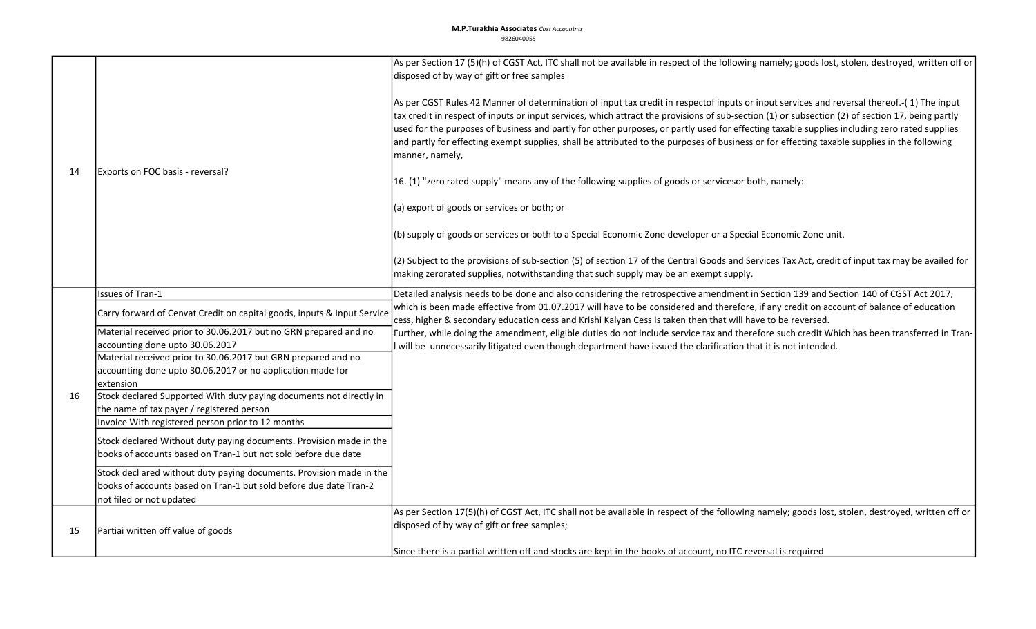|    |                                                                                                     | As per Section 17 (5)(h) of CGST Act, ITC shall not be available in respect of the following namely; goods lost, stolen, destroyed, written off or<br>disposed of by way of gift or free samples                                                                                                                                                                                                                                                                                                                                                                                                                                                                                                                                                                                                                                                                                                                                                                                                                                                                                                                                      |
|----|-----------------------------------------------------------------------------------------------------|---------------------------------------------------------------------------------------------------------------------------------------------------------------------------------------------------------------------------------------------------------------------------------------------------------------------------------------------------------------------------------------------------------------------------------------------------------------------------------------------------------------------------------------------------------------------------------------------------------------------------------------------------------------------------------------------------------------------------------------------------------------------------------------------------------------------------------------------------------------------------------------------------------------------------------------------------------------------------------------------------------------------------------------------------------------------------------------------------------------------------------------|
| 14 | Exports on FOC basis - reversal?                                                                    | As per CGST Rules 42 Manner of determination of input tax credit in respectof inputs or input services and reversal thereof.-(1) The input<br>tax credit in respect of inputs or input services, which attract the provisions of sub-section (1) or subsection (2) of section 17, being partly<br>used for the purposes of business and partly for other purposes, or partly used for effecting taxable supplies including zero rated supplies<br>and partly for effecting exempt supplies, shall be attributed to the purposes of business or for effecting taxable supplies in the following<br>manner, namely,<br>16. (1) "zero rated supply" means any of the following supplies of goods or servicesor both, namely:<br>(a) export of goods or services or both; or<br>(b) supply of goods or services or both to a Special Economic Zone developer or a Special Economic Zone unit.<br>(2) Subject to the provisions of sub-section (5) of section 17 of the Central Goods and Services Tax Act, credit of input tax may be availed for<br>making zerorated supplies, notwithstanding that such supply may be an exempt supply. |
|    | Issues of Tran-1                                                                                    | Detailed analysis needs to be done and also considering the retrospective amendment in Section 139 and Section 140 of CGST Act 2017,                                                                                                                                                                                                                                                                                                                                                                                                                                                                                                                                                                                                                                                                                                                                                                                                                                                                                                                                                                                                  |
|    | Carry forward of Cenvat Credit on capital goods, inputs & Input Service                             | which is been made effective from 01.07.2017 will have to be considered and therefore, if any credit on account of balance of education<br>cess, higher & secondary education cess and Krishi Kalyan Cess is taken then that will have to be reversed.                                                                                                                                                                                                                                                                                                                                                                                                                                                                                                                                                                                                                                                                                                                                                                                                                                                                                |
|    | Material received prior to 30.06.2017 but no GRN prepared and no<br>accounting done upto 30.06.2017 | Further, while doing the amendment, eligible duties do not include service tax and therefore such credit Which has been transferred in Tran-<br>I will be unnecessarily litigated even though department have issued the clarification that it is not intended.                                                                                                                                                                                                                                                                                                                                                                                                                                                                                                                                                                                                                                                                                                                                                                                                                                                                       |
|    | Material received prior to 30.06.2017 but GRN prepared and no                                       |                                                                                                                                                                                                                                                                                                                                                                                                                                                                                                                                                                                                                                                                                                                                                                                                                                                                                                                                                                                                                                                                                                                                       |
|    | accounting done upto 30.06.2017 or no application made for                                          |                                                                                                                                                                                                                                                                                                                                                                                                                                                                                                                                                                                                                                                                                                                                                                                                                                                                                                                                                                                                                                                                                                                                       |
|    | extension                                                                                           |                                                                                                                                                                                                                                                                                                                                                                                                                                                                                                                                                                                                                                                                                                                                                                                                                                                                                                                                                                                                                                                                                                                                       |
| 16 | Stock declared Supported With duty paying documents not directly in                                 |                                                                                                                                                                                                                                                                                                                                                                                                                                                                                                                                                                                                                                                                                                                                                                                                                                                                                                                                                                                                                                                                                                                                       |
|    | the name of tax payer / registered person                                                           |                                                                                                                                                                                                                                                                                                                                                                                                                                                                                                                                                                                                                                                                                                                                                                                                                                                                                                                                                                                                                                                                                                                                       |
|    | Invoice With registered person prior to 12 months                                                   |                                                                                                                                                                                                                                                                                                                                                                                                                                                                                                                                                                                                                                                                                                                                                                                                                                                                                                                                                                                                                                                                                                                                       |
|    | Stock declared Without duty paying documents. Provision made in the                                 |                                                                                                                                                                                                                                                                                                                                                                                                                                                                                                                                                                                                                                                                                                                                                                                                                                                                                                                                                                                                                                                                                                                                       |
|    | books of accounts based on Tran-1 but not sold before due date                                      |                                                                                                                                                                                                                                                                                                                                                                                                                                                                                                                                                                                                                                                                                                                                                                                                                                                                                                                                                                                                                                                                                                                                       |
|    | Stock decl ared without duty paying documents. Provision made in the                                |                                                                                                                                                                                                                                                                                                                                                                                                                                                                                                                                                                                                                                                                                                                                                                                                                                                                                                                                                                                                                                                                                                                                       |
|    | books of accounts based on Tran-1 but sold before due date Tran-2                                   |                                                                                                                                                                                                                                                                                                                                                                                                                                                                                                                                                                                                                                                                                                                                                                                                                                                                                                                                                                                                                                                                                                                                       |
|    | not filed or not updated                                                                            |                                                                                                                                                                                                                                                                                                                                                                                                                                                                                                                                                                                                                                                                                                                                                                                                                                                                                                                                                                                                                                                                                                                                       |
| 15 |                                                                                                     | As per Section 17(5)(h) of CGST Act, ITC shall not be available in respect of the following namely; goods lost, stolen, destroyed, written off or                                                                                                                                                                                                                                                                                                                                                                                                                                                                                                                                                                                                                                                                                                                                                                                                                                                                                                                                                                                     |
|    | Partiai written off value of goods                                                                  | disposed of by way of gift or free samples;                                                                                                                                                                                                                                                                                                                                                                                                                                                                                                                                                                                                                                                                                                                                                                                                                                                                                                                                                                                                                                                                                           |
|    |                                                                                                     | Since there is a partial written off and stocks are kept in the books of account, no ITC reversal is required                                                                                                                                                                                                                                                                                                                                                                                                                                                                                                                                                                                                                                                                                                                                                                                                                                                                                                                                                                                                                         |
|    |                                                                                                     |                                                                                                                                                                                                                                                                                                                                                                                                                                                                                                                                                                                                                                                                                                                                                                                                                                                                                                                                                                                                                                                                                                                                       |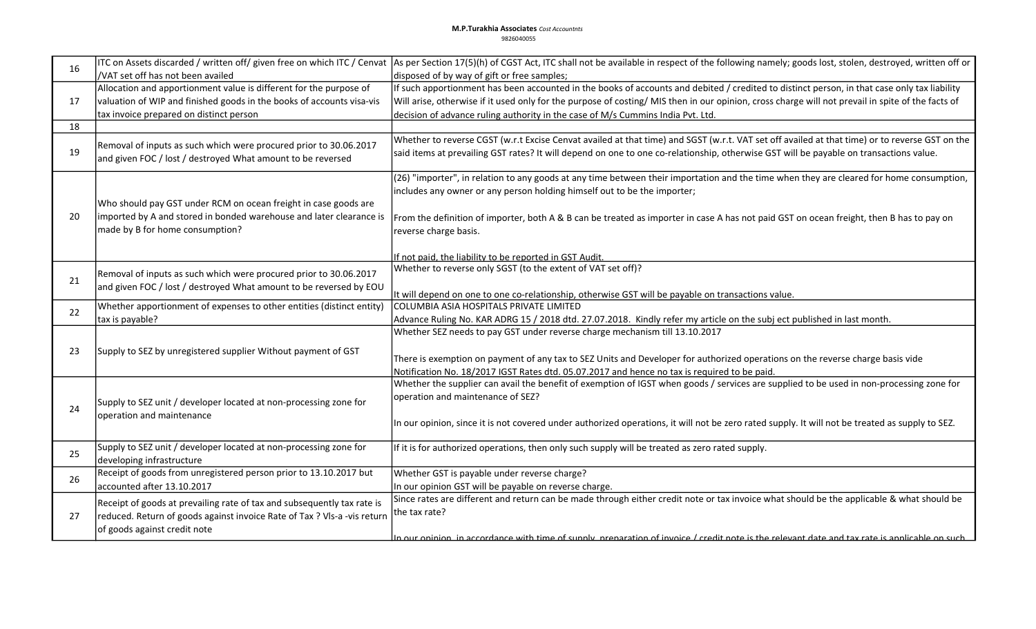| 16 | ITC on Assets discarded / written off/ given free on which ITC / Cenvat                                                          | As per Section 17(5)(h) of CGST Act, ITC shall not be available in respect of the following namely; goods lost, stolen, destroyed, written off or                                                                                                                                        |
|----|----------------------------------------------------------------------------------------------------------------------------------|------------------------------------------------------------------------------------------------------------------------------------------------------------------------------------------------------------------------------------------------------------------------------------------|
|    | /VAT set off has not been availed                                                                                                | disposed of by way of gift or free samples;                                                                                                                                                                                                                                              |
| 17 | Allocation and apportionment value is different for the purpose of                                                               | If such apportionment has been accounted in the books of accounts and debited / credited to distinct person, in that case only tax liability                                                                                                                                             |
|    | valuation of WIP and finished goods in the books of accounts visa-vis                                                            | Will arise, otherwise if it used only for the purpose of costing/MIS then in our opinion, cross charge will not prevail in spite of the facts of                                                                                                                                         |
|    | tax invoice prepared on distinct person                                                                                          | decision of advance ruling authority in the case of M/s Cummins India Pvt. Ltd.                                                                                                                                                                                                          |
| 18 |                                                                                                                                  |                                                                                                                                                                                                                                                                                          |
| 19 | Removal of inputs as such which were procured prior to 30.06.2017<br>and given FOC / lost / destroyed What amount to be reversed | Whether to reverse CGST (w.r.t Excise Cenvat availed at that time) and SGST (w.r.t. VAT set off availed at that time) or to reverse GST on the<br>said items at prevailing GST rates? It will depend on one to one co-relationship, otherwise GST will be payable on transactions value. |
|    | Who should pay GST under RCM on ocean freight in case goods are                                                                  | (26) "importer", in relation to any goods at any time between their importation and the time when they are cleared for home consumption,<br>includes any owner or any person holding himself out to be the importer;                                                                     |
| 20 | imported by A and stored in bonded warehouse and later clearance is<br>made by B for home consumption?                           | From the definition of importer, both A & B can be treated as importer in case A has not paid GST on ocean freight, then B has to pay on<br>reverse charge basis.                                                                                                                        |
|    |                                                                                                                                  | If not paid, the liability to be reported in GST Audit.                                                                                                                                                                                                                                  |
|    |                                                                                                                                  | Whether to reverse only SGST (to the extent of VAT set off)?                                                                                                                                                                                                                             |
| 21 | Removal of inputs as such which were procured prior to 30.06.2017                                                                |                                                                                                                                                                                                                                                                                          |
|    | and given FOC / lost / destroyed What amount to be reversed by EOU                                                               | It will depend on one to one co-relationship, otherwise GST will be payable on transactions value.                                                                                                                                                                                       |
|    | Whether apportionment of expenses to other entities (distinct entity)                                                            | COLUMBIA ASIA HOSPITALS PRIVATE LIMITED                                                                                                                                                                                                                                                  |
| 22 | tax is payable?                                                                                                                  | Advance Ruling No. KAR ADRG 15 / 2018 dtd. 27.07.2018. Kindly refer my article on the subj ect published in last month.                                                                                                                                                                  |
|    |                                                                                                                                  | Whether SEZ needs to pay GST under reverse charge mechanism till 13.10.2017                                                                                                                                                                                                              |
|    |                                                                                                                                  |                                                                                                                                                                                                                                                                                          |
| 23 | Supply to SEZ by unregistered supplier Without payment of GST                                                                    | There is exemption on payment of any tax to SEZ Units and Developer for authorized operations on the reverse charge basis vide                                                                                                                                                           |
|    |                                                                                                                                  | Notification No. 18/2017 IGST Rates dtd. 05.07.2017 and hence no tax is required to be paid.                                                                                                                                                                                             |
|    |                                                                                                                                  | Whether the supplier can avail the benefit of exemption of IGST when goods / services are supplied to be used in non-processing zone for                                                                                                                                                 |
|    | Supply to SEZ unit / developer located at non-processing zone for<br>operation and maintenance                                   | operation and maintenance of SEZ?                                                                                                                                                                                                                                                        |
| 24 |                                                                                                                                  |                                                                                                                                                                                                                                                                                          |
|    |                                                                                                                                  | In our opinion, since it is not covered under authorized operations, it will not be zero rated supply. It will not be treated as supply to SEZ.                                                                                                                                          |
| 25 | Supply to SEZ unit / developer located at non-processing zone for<br>developing infrastructure                                   | If it is for authorized operations, then only such supply will be treated as zero rated supply.                                                                                                                                                                                          |
| 26 | Receipt of goods from unregistered person prior to 13.10.2017 but                                                                | Whether GST is payable under reverse charge?                                                                                                                                                                                                                                             |
|    | accounted after 13.10.2017                                                                                                       | In our opinion GST will be payable on reverse charge.                                                                                                                                                                                                                                    |
| 27 | Receipt of goods at prevailing rate of tax and subsequently tax rate is                                                          | Since rates are different and return can be made through either credit note or tax invoice what should be the applicable & what should be                                                                                                                                                |
|    | reduced. Return of goods against invoice Rate of Tax ? VIs-a -vis return                                                         | the tax rate?                                                                                                                                                                                                                                                                            |
|    | of goods against credit note                                                                                                     |                                                                                                                                                                                                                                                                                          |
|    |                                                                                                                                  | <u>In our opinion in accordance with time of sunnly, preparation of invoice / credit note is the relevant date and tay rate is annlicable on such </u>                                                                                                                                   |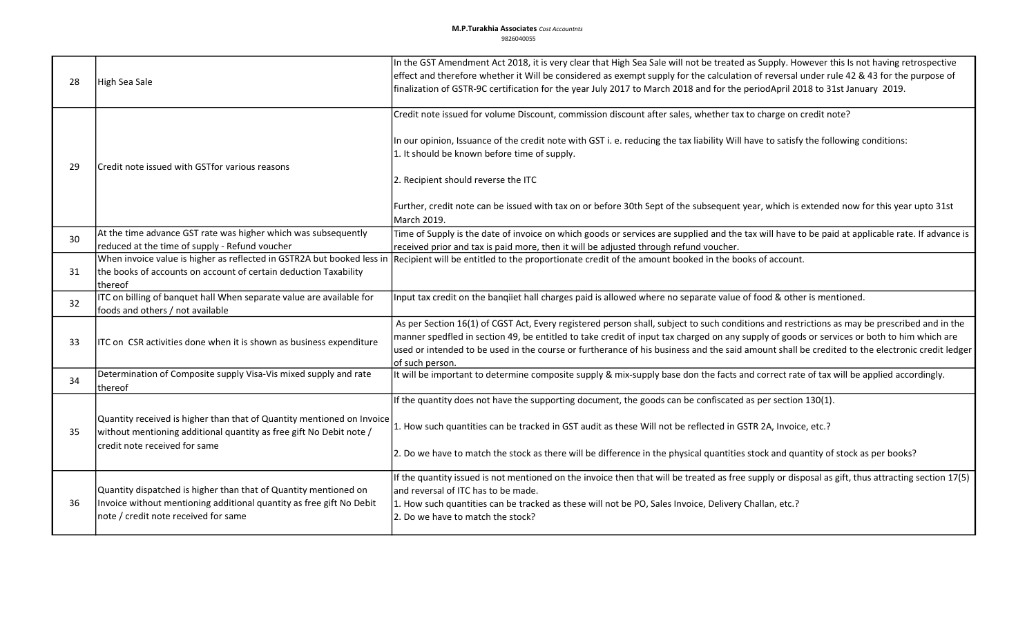| 28 | High Sea Sale                                                                                                                                                                                           | In the GST Amendment Act 2018, it is very clear that High Sea Sale will not be treated as Supply. However this Is not having retrospective<br>effect and therefore whether it Will be considered as exempt supply for the calculation of reversal under rule 42 & 43 for the purpose of<br>finalization of GSTR-9C certification for the year July 2017 to March 2018 and for the periodApril 2018 to 31st January 2019.                                                                                 |
|----|---------------------------------------------------------------------------------------------------------------------------------------------------------------------------------------------------------|----------------------------------------------------------------------------------------------------------------------------------------------------------------------------------------------------------------------------------------------------------------------------------------------------------------------------------------------------------------------------------------------------------------------------------------------------------------------------------------------------------|
| 29 | Credit note issued with GSTfor various reasons                                                                                                                                                          | Credit note issued for volume Discount, commission discount after sales, whether tax to charge on credit note?<br>In our opinion, Issuance of the credit note with GST i. e. reducing the tax liability Will have to satisfy the following conditions:<br>1. It should be known before time of supply.<br>2. Recipient should reverse the ITC<br>Further, credit note can be issued with tax on or before 30th Sept of the subsequent year, which is extended now for this year upto 31st<br>March 2019. |
| 30 | At the time advance GST rate was higher which was subsequently                                                                                                                                          | Time of Supply is the date of invoice on which goods or services are supplied and the tax will have to be paid at applicable rate. If advance is                                                                                                                                                                                                                                                                                                                                                         |
| 31 | reduced at the time of supply - Refund voucher<br>When invoice value is higher as reflected in GSTR2A but booked less in<br>the books of accounts on account of certain deduction Taxability<br>thereof | received prior and tax is paid more, then it will be adjusted through refund voucher.<br>Recipient will be entitled to the proportionate credit of the amount booked in the books of account.                                                                                                                                                                                                                                                                                                            |
| 32 | ITC on billing of banquet hall When separate value are available for<br>foods and others / not available                                                                                                | Input tax credit on the bangiiet hall charges paid is allowed where no separate value of food & other is mentioned.                                                                                                                                                                                                                                                                                                                                                                                      |
| 33 | ITC on CSR activities done when it is shown as business expenditure                                                                                                                                     | As per Section 16(1) of CGST Act, Every registered person shall, subject to such conditions and restrictions as may be prescribed and in the<br>manner spedfled in section 49, be entitled to take credit of input tax charged on any supply of goods or services or both to him which are<br>used or intended to be used in the course or furtherance of his business and the said amount shall be credited to the electronic credit ledger<br>of such person.                                          |
| 34 | Determination of Composite supply Visa-Vis mixed supply and rate<br>thereof                                                                                                                             | It will be important to determine composite supply & mix-supply base don the facts and correct rate of tax will be applied accordingly.                                                                                                                                                                                                                                                                                                                                                                  |
| 35 | Quantity received is higher than that of Quantity mentioned on Invoice<br>without mentioning additional quantity as free gift No Debit note /<br>credit note received for same                          | If the quantity does not have the supporting document, the goods can be confiscated as per section 130(1).<br>1. How such quantities can be tracked in GST audit as these Will not be reflected in GSTR 2A, Invoice, etc.?<br>2. Do we have to match the stock as there will be difference in the physical quantities stock and quantity of stock as per books?                                                                                                                                          |
| 36 | Quantity dispatched is higher than that of Quantity mentioned on<br>Invoice without mentioning additional quantity as free gift No Debit<br>note / credit note received for same                        | If the quantity issued is not mentioned on the invoice then that will be treated as free supply or disposal as gift, thus attracting section 17(5)<br>and reversal of ITC has to be made.<br>1. How such quantities can be tracked as these will not be PO, Sales Invoice, Delivery Challan, etc.?<br>2. Do we have to match the stock?                                                                                                                                                                  |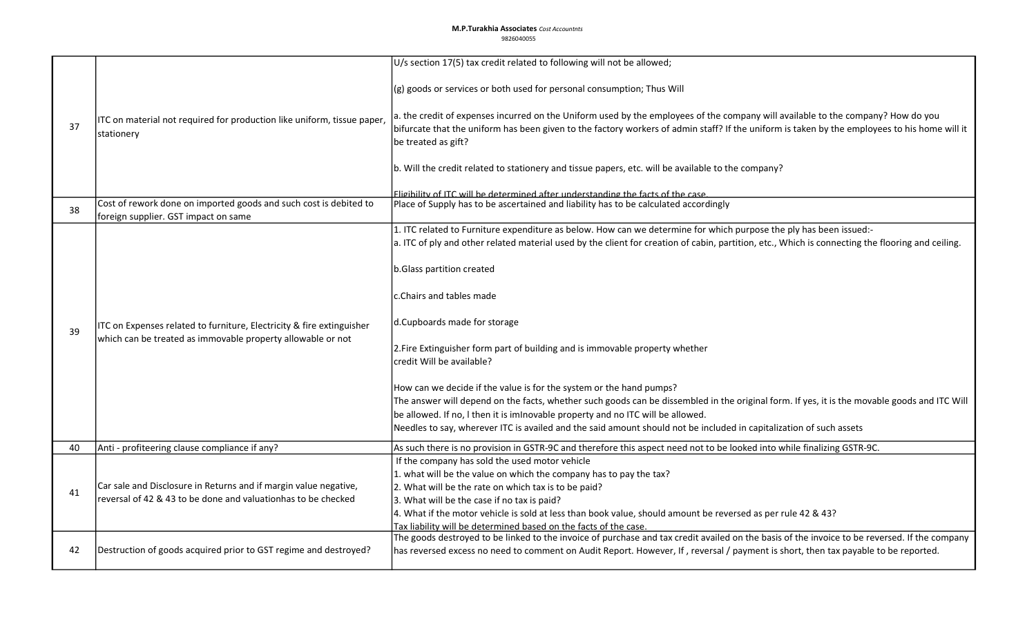## **M.P.Turakhia Associates** Cost Accountnts 9826040055

|    |                                                                                                                                      | U/s section 17(5) tax credit related to following will not be allowed;                                                                            |
|----|--------------------------------------------------------------------------------------------------------------------------------------|---------------------------------------------------------------------------------------------------------------------------------------------------|
|    |                                                                                                                                      |                                                                                                                                                   |
| 37 | ITC on material not required for production like uniform, tissue paper,                                                              | (g) goods or services or both used for personal consumption; Thus Will                                                                            |
|    |                                                                                                                                      | a. the credit of expenses incurred on the Uniform used by the employees of the company will available to the company? How do you                  |
|    | stationery                                                                                                                           | bifurcate that the uniform has been given to the factory workers of admin staff? If the uniform is taken by the employees to his home will it     |
|    |                                                                                                                                      | be treated as gift?                                                                                                                               |
|    |                                                                                                                                      |                                                                                                                                                   |
|    |                                                                                                                                      | b. Will the credit related to stationery and tissue papers, etc. will be available to the company?                                                |
|    |                                                                                                                                      |                                                                                                                                                   |
|    |                                                                                                                                      | Fligibility of ITC will be determined after understanding the facts of the case                                                                   |
| 38 | Cost of rework done on imported goods and such cost is debited to                                                                    | Place of Supply has to be ascertained and liability has to be calculated accordingly                                                              |
|    | foreign supplier. GST impact on same                                                                                                 | 1. ITC related to Furniture expenditure as below. How can we determine for which purpose the ply has been issued:-                                |
|    |                                                                                                                                      | a. ITC of ply and other related material used by the client for creation of cabin, partition, etc., Which is connecting the flooring and ceiling. |
|    |                                                                                                                                      |                                                                                                                                                   |
|    |                                                                                                                                      | b.Glass partition created                                                                                                                         |
|    |                                                                                                                                      |                                                                                                                                                   |
|    |                                                                                                                                      | c.Chairs and tables made                                                                                                                          |
|    | ITC on Expenses related to furniture, Electricity & fire extinguisher<br>which can be treated as immovable property allowable or not |                                                                                                                                                   |
|    |                                                                                                                                      | d.Cupboards made for storage                                                                                                                      |
| 39 |                                                                                                                                      |                                                                                                                                                   |
|    |                                                                                                                                      | 2. Fire Extinguisher form part of building and is immovable property whether                                                                      |
|    |                                                                                                                                      | credit Will be available?                                                                                                                         |
|    |                                                                                                                                      |                                                                                                                                                   |
|    |                                                                                                                                      | How can we decide if the value is for the system or the hand pumps?                                                                               |
|    |                                                                                                                                      | The answer will depend on the facts, whether such goods can be dissembled in the original form. If yes, it is the movable goods and ITC Will      |
|    |                                                                                                                                      | be allowed. If no, I then it is imInovable property and no ITC will be allowed.                                                                   |
|    |                                                                                                                                      | Needles to say, wherever ITC is availed and the said amount should not be included in capitalization of such assets                               |
| 40 | Anti - profiteering clause compliance if any?                                                                                        | As such there is no provision in GSTR-9C and therefore this aspect need not to be looked into while finalizing GSTR-9C.                           |
|    |                                                                                                                                      | If the company has sold the used motor vehicle                                                                                                    |
|    |                                                                                                                                      | 1. what will be the value on which the company has to pay the tax?                                                                                |
| 41 | Car sale and Disclosure in Returns and if margin value negative,                                                                     | 2. What will be the rate on which tax is to be paid?                                                                                              |
|    | reversal of 42 & 43 to be done and valuationhas to be checked                                                                        | 3. What will be the case if no tax is paid?                                                                                                       |
|    |                                                                                                                                      | 4. What if the motor vehicle is sold at less than book value, should amount be reversed as per rule 42 & 43?                                      |
|    |                                                                                                                                      | Tax liability will be determined based on the facts of the case.                                                                                  |
|    |                                                                                                                                      | The goods destroyed to be linked to the invoice of purchase and tax credit availed on the basis of the invoice to be reversed. If the company     |
| 42 | Destruction of goods acquired prior to GST regime and destroyed?                                                                     | has reversed excess no need to comment on Audit Report. However, If, reversal / payment is short, then tax payable to be reported.                |
|    |                                                                                                                                      |                                                                                                                                                   |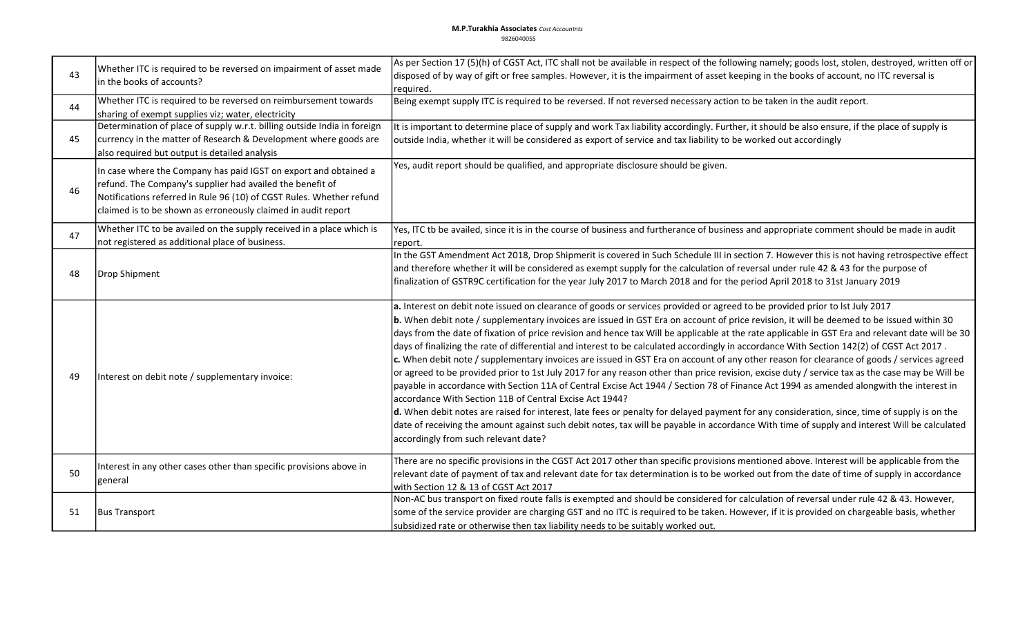| 43 | Whether ITC is required to be reversed on impairment of asset made<br>in the books of accounts?                                                                                                                                                                        | As per Section 17 (5)(h) of CGST Act, ITC shall not be available in respect of the following namely; goods lost, stolen, destroyed, written off or<br>disposed of by way of gift or free samples. However, it is the impairment of asset keeping in the books of account, no ITC reversal is<br>Ireauired.                                                                                                                                                                                                                                                                                                                                                                                                                                                                                                                                                                                                                                                                                                                                                                                                                                                                                                                                                                                                                                                                                                            |
|----|------------------------------------------------------------------------------------------------------------------------------------------------------------------------------------------------------------------------------------------------------------------------|-----------------------------------------------------------------------------------------------------------------------------------------------------------------------------------------------------------------------------------------------------------------------------------------------------------------------------------------------------------------------------------------------------------------------------------------------------------------------------------------------------------------------------------------------------------------------------------------------------------------------------------------------------------------------------------------------------------------------------------------------------------------------------------------------------------------------------------------------------------------------------------------------------------------------------------------------------------------------------------------------------------------------------------------------------------------------------------------------------------------------------------------------------------------------------------------------------------------------------------------------------------------------------------------------------------------------------------------------------------------------------------------------------------------------|
| 44 | Whether ITC is required to be reversed on reimbursement towards<br>sharing of exempt supplies viz; water, electricity                                                                                                                                                  | Being exempt supply ITC is required to be reversed. If not reversed necessary action to be taken in the audit report.                                                                                                                                                                                                                                                                                                                                                                                                                                                                                                                                                                                                                                                                                                                                                                                                                                                                                                                                                                                                                                                                                                                                                                                                                                                                                                 |
| 45 | Determination of place of supply w.r.t. billing outside India in foreign<br>currency in the matter of Research & Development where goods are<br>also required but output is detailed analysis                                                                          | It is important to determine place of supply and work Tax liability accordingly. Further, it should be also ensure, if the place of supply is<br>outside India, whether it will be considered as export of service and tax liability to be worked out accordingly                                                                                                                                                                                                                                                                                                                                                                                                                                                                                                                                                                                                                                                                                                                                                                                                                                                                                                                                                                                                                                                                                                                                                     |
| 46 | In case where the Company has paid IGST on export and obtained a<br>refund. The Company's supplier had availed the benefit of<br>Notifications referred in Rule 96 (10) of CGST Rules. Whether refund<br>claimed is to be shown as erroneously claimed in audit report | Yes, audit report should be qualified, and appropriate disclosure should be given.                                                                                                                                                                                                                                                                                                                                                                                                                                                                                                                                                                                                                                                                                                                                                                                                                                                                                                                                                                                                                                                                                                                                                                                                                                                                                                                                    |
| 47 | Whether ITC to be availed on the supply received in a place which is<br>not registered as additional place of business.                                                                                                                                                | Yes, ITC tb be availed, since it is in the course of business and furtherance of business and appropriate comment should be made in audit<br>report.                                                                                                                                                                                                                                                                                                                                                                                                                                                                                                                                                                                                                                                                                                                                                                                                                                                                                                                                                                                                                                                                                                                                                                                                                                                                  |
| 48 | Drop Shipment                                                                                                                                                                                                                                                          | In the GST Amendment Act 2018, Drop Shipmerit is covered in Such Schedule III in section 7. However this is not having retrospective effect<br>and therefore whether it will be considered as exempt supply for the calculation of reversal under rule 42 & 43 for the purpose of<br>finalization of GSTR9C certification for the year July 2017 to March 2018 and for the period April 2018 to 31st January 2019                                                                                                                                                                                                                                                                                                                                                                                                                                                                                                                                                                                                                                                                                                                                                                                                                                                                                                                                                                                                     |
| 49 | Interest on debit note / supplementary invoice:                                                                                                                                                                                                                        | a. Interest on debit note issued on clearance of goods or services provided or agreed to be provided prior to lst July 2017<br>b. When debit note / supplementary invoices are issued in GST Era on account of price revision, it will be deemed to be issued within 30<br>days from the date of fixation of price revision and hence tax Will be applicable at the rate applicable in GST Era and relevant date will be 30<br>days of finalizing the rate of differential and interest to be calculated accordingly in accordance With Section 142(2) of CGST Act 2017.<br>c. When debit note / supplementary invoices are issued in GST Era on account of any other reason for clearance of goods / services agreed<br>or agreed to be provided prior to 1st July 2017 for any reason other than price revision, excise duty / service tax as the case may be Will be<br>payable in accordance with Section 11A of Central Excise Act 1944 / Section 78 of Finance Act 1994 as amended alongwith the interest in<br>accordance With Section 11B of Central Excise Act 1944?<br>d. When debit notes are raised for interest, late fees or penalty for delayed payment for any consideration, since, time of supply is on the<br>date of receiving the amount against such debit notes, tax will be payable in accordance With time of supply and interest Will be calculated<br>accordingly from such relevant date? |
| 50 | Interest in any other cases other than specific provisions above in<br> general                                                                                                                                                                                        | There are no specific provisions in the CGST Act 2017 other than specific provisions mentioned above. Interest will be applicable from the<br>relevant date of payment of tax and relevant date for tax determination is to be worked out from the date of time of supply in accordance<br>with Section 12 & 13 of CGST Act 2017                                                                                                                                                                                                                                                                                                                                                                                                                                                                                                                                                                                                                                                                                                                                                                                                                                                                                                                                                                                                                                                                                      |
| 51 | <b>Bus Transport</b>                                                                                                                                                                                                                                                   | Non-AC bus transport on fixed route falls is exempted and should be considered for calculation of reversal under rule 42 & 43. However,<br>some of the service provider are charging GST and no ITC is required to be taken. However, if it is provided on chargeable basis, whether<br>subsidized rate or otherwise then tax liability needs to be suitably worked out.                                                                                                                                                                                                                                                                                                                                                                                                                                                                                                                                                                                                                                                                                                                                                                                                                                                                                                                                                                                                                                              |